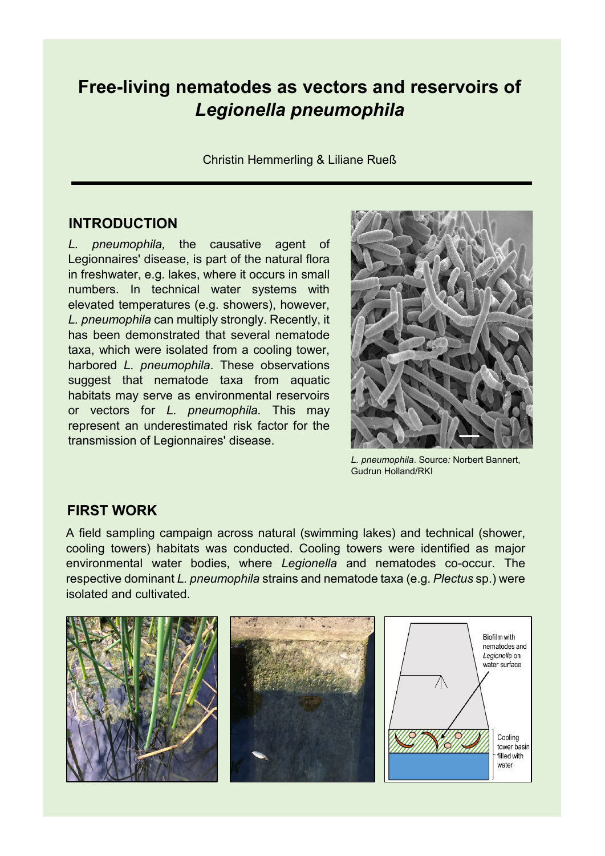# **Free-living nematodes as vectors and reservoirs of**  *Legionella pneumophila*

Christin Hemmerling & Liliane Rueß

#### **INTRODUCTION**

*L. pneumophila,* the causative agent of Legionnaires' disease, is part of the natural flora in freshwater, e.g. lakes, where it occurs in small numbers. In technical water systems with elevated temperatures (e.g. showers), however, *L. pneumophila* can multiply strongly. Recently, it has been demonstrated that several nematode taxa, which were isolated from a cooling tower, harbored *L. pneumophila*. These observations suggest that nematode taxa from aquatic habitats may serve as environmental reservoirs or vectors for *L. pneumophila.* This may represent an underestimated risk factor for the transmission of Legionnaires' disease.



*L. pneumophila*. Source*:* Norbert Bannert, Gudrun Holland/RKI

### **FIRST WORK**

A field sampling campaign across natural (swimming lakes) and technical (shower, cooling towers) habitats was conducted. Cooling towers were identified as major environmental water bodies, where *Legionella* and nematodes co-occur. The respective dominant *L. pneumophila* strains and nematode taxa (e.g. *Plectus* sp.) were isolated and cultivated.